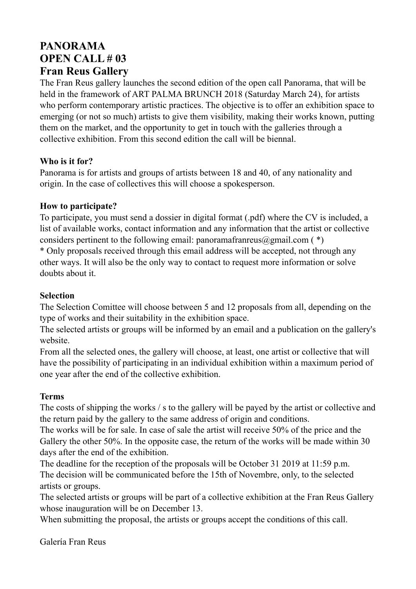# **PANORAMA OPEN CALL # 03 Fran Reus Gallery**

The Fran Reus gallery launches the second edition of the open call Panorama, that will be held in the framework of ART PALMA BRUNCH 2018 (Saturday March 24), for artists who perform contemporary artistic practices. The objective is to offer an exhibition space to emerging (or not so much) artists to give them visibility, making their works known, putting them on the market, and the opportunity to get in touch with the galleries through a collective exhibition. From this second edition the call will be biennal.

#### **Who is it for?**

Panorama is for artists and groups of artists between 18 and 40, of any nationality and origin. In the case of collectives this will choose a spokesperson.

#### **How to participate?**

To participate, you must send a dossier in digital format (.pdf) where the CV is included, a list of available works, contact information and any information that the artist or collective considers pertinent to the following email: panoramafranreus@gmail.com  $(*)$ \* Only proposals received through this email address will be accepted, not through any other ways. It will also be the only way to contact to request more information or solve doubts about it.

### **Selection**

The Selection Comittee will choose between 5 and 12 proposals from all, depending on the type of works and their suitability in the exhibition space.

The selected artists or groups will be informed by an email and a publication on the gallery's website.

From all the selected ones, the gallery will choose, at least, one artist or collective that will have the possibility of participating in an individual exhibition within a maximum period of one year after the end of the collective exhibition.

## **Terms**

The costs of shipping the works / s to the gallery will be payed by the artist or collective and the return paid by the gallery to the same address of origin and conditions.

The works will be for sale. In case of sale the artist will receive 50% of the price and the Gallery the other 50%. In the opposite case, the return of the works will be made within 30 days after the end of the exhibition.

The deadline for the reception of the proposals will be October 31 2019 at 11:59 p.m. The decision will be communicated before the 15th of Novembre, only, to the selected artists or groups.

The selected artists or groups will be part of a collective exhibition at the Fran Reus Gallery whose inauguration will be on December 13.

When submitting the proposal, the artists or groups accept the conditions of this call.

Galería Fran Reus